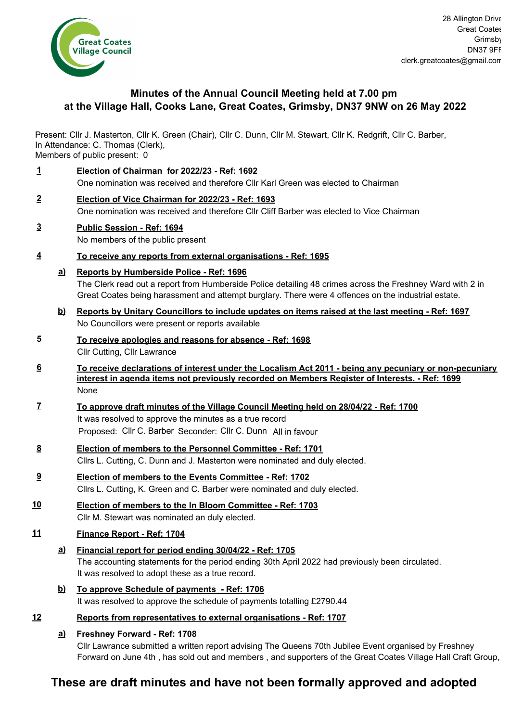

# **Minutes of the Annual Council Meeting held at 7.00 pm at the Village Hall, Cooks Lane, Great Coates, Grimsby, DN37 9NW on 26 May 2022**

Present: Cllr J. Masterton, Cllr K. Green (Chair), Cllr C. Dunn, Cllr M. Stewart, Cllr K. Redgrift, Cllr C. Barber, In Attendance: C. Thomas (Clerk),

Members of public present: 0

**1 Election of Chairman for 2022/23 - Ref: 1692** One nomination was received and therefore Cllr Karl Green was elected to Chairman **2 Election of Vice Chairman for 2022/23 - Ref: 1693** One nomination was received and therefore Cllr Cliff Barber was elected to Vice Chairman **3 Public Session - Ref: 1694** No members of the public present **4 To receive any reports from external organisations - Ref: 1695 Reports by Humberside Police - Ref: 1696 a)** The Clerk read out a report from Humberside Police detailing 48 crimes across the Freshney Ward with 2 in Great Coates being harassment and attempt burglary. There were 4 offences on the industrial estate. **Reports by Unitary Councillors to include updates on items raised at the last meeting - Ref: 1697 b)** No Councillors were present or reports available **5 To receive apologies and reasons for absence - Ref: 1698** Cllr Cutting, Cllr Lawrance **6 To receive declarations of interest under the Localism Act 2011 - being any pecuniary or non-pecuniary interest in agenda items not previously recorded on Members Register of Interests. - Ref: 1699** None **7 To approve draft minutes of the Village Council Meeting held on 28/04/22 - Ref: 1700** It was resolved to approve the minutes as a true record Proposed: Cllr C. Barber Seconder: Cllr C. Dunn All in favour **8 Election of members to the Personnel Committee - Ref: 1701** Cllrs L. Cutting, C. Dunn and J. Masterton were nominated and duly elected. **9 Election of members to the Events Committee - Ref: 1702** Cllrs L. Cutting, K. Green and C. Barber were nominated and duly elected. **10 Election of members to the In Bloom Committee - Ref: 1703** Cllr M. Stewart was nominated an duly elected. **11 Finance Report - Ref: 1704 Financial report for period ending 30/04/22 - Ref: 1705** The accounting statements for the period ending 30th April 2022 had previously been circulated. It was resolved to adopt these as a true record. **a) To approve Schedule of payments - Ref: 1706 b)** It was resolved to approve the schedule of payments totalling £2790.44 **12 Reports from representatives to external organisations - Ref: 1707 Freshney Forward - Ref: 1708 a)** Cllr Lawrance submitted a written report advising The Queens 70th Jubilee Event organised by Freshney

# **These are draft minutes and have not been formally approved and adopted**

Forward on June 4th , has sold out and members , and supporters of the Great Coates Village Hall Craft Group,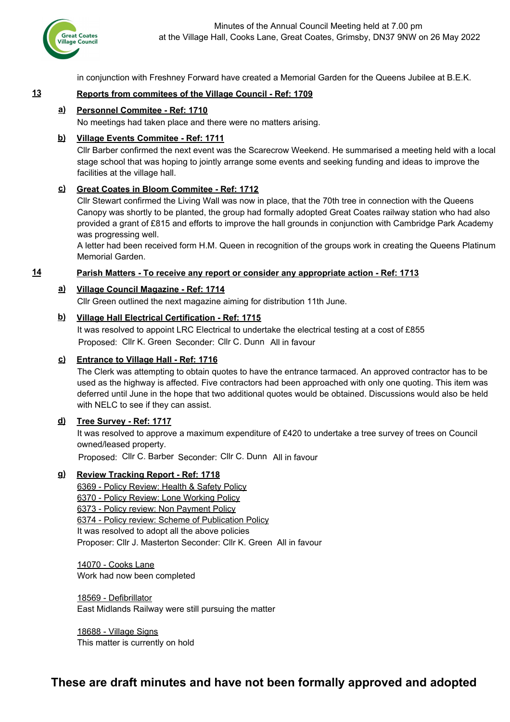

in conjunction with Freshney Forward have created a Memorial Garden for the Queens Jubilee at B.E.K.

# **13 Reports from commitees of the Village Council - Ref: 1709**

# **Personnel Commitee - Ref: 1710 a)**

No meetings had taken place and there were no matters arising.

# **Village Events Commitee - Ref: 1711 b)**

Cllr Barber confirmed the next event was the Scarecrow Weekend. He summarised a meeting held with a local stage school that was hoping to jointly arrange some events and seeking funding and ideas to improve the facilities at the village hall.

# **Great Coates in Bloom Commitee - Ref: 1712 c)**

Cllr Stewart confirmed the Living Wall was now in place, that the 70th tree in connection with the Queens Canopy was shortly to be planted, the group had formally adopted Great Coates railway station who had also provided a grant of £815 and efforts to improve the hall grounds in conjunction with Cambridge Park Academy was progressing well.

A letter had been received form H.M. Queen in recognition of the groups work in creating the Queens Platinum Memorial Garden.

#### **14 Parish Matters - To receive any report or consider any appropriate action - Ref: 1713**

#### **Village Council Magazine - Ref: 1714 a)**

Cllr Green outlined the next magazine aiming for distribution 11th June.

#### **Village Hall Electrical Certification - Ref: 1715 b)**

It was resolved to appoint LRC Electrical to undertake the electrical testing at a cost of £855 Proposed: Cllr K. Green Seconder: Cllr C. Dunn All in favour

#### **Entrance to Village Hall - Ref: 1716 c)**

The Clerk was attempting to obtain quotes to have the entrance tarmaced. An approved contractor has to be used as the highway is affected. Five contractors had been approached with only one quoting. This item was deferred until June in the hope that two additional quotes would be obtained. Discussions would also be held with NELC to see if they can assist.

#### **Tree Survey - Ref: 1717 d)**

It was resolved to approve a maximum expenditure of £420 to undertake a tree survey of trees on Council owned/leased property.

Proposed: Cllr C. Barber Seconder: Cllr C. Dunn All in favour

#### **Review Tracking Report - Ref: 1718 g)**

6369 - Policy Review: Health & Safety Policy 6370 - Policy Review: Lone Working Policy 6373 - Policy review: Non Payment Policy 6374 - Policy review: Scheme of Publication Policy It was resolved to adopt all the above policies Proposer: Cllr J. Masterton Seconder: Cllr K. Green All in favour

14070 - Cooks Lane Work had now been completed

18569 - Defibrillator East Midlands Railway were still pursuing the matter

18688 - Village Signs This matter is currently on hold